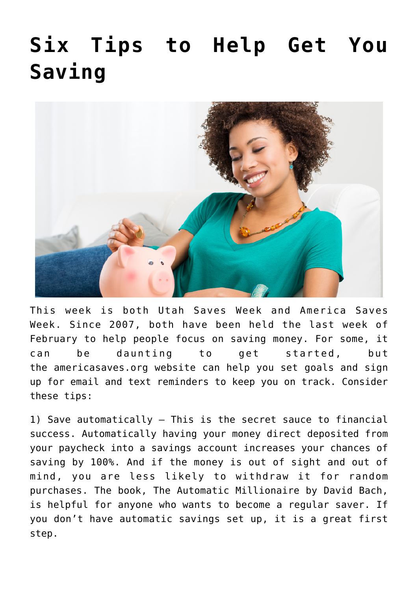## **[Six Tips to Help Get You](https://livewellutah.org/2022/02/24/six-tips-to-help-get-you-saving/) [Saving](https://livewellutah.org/2022/02/24/six-tips-to-help-get-you-saving/)**



This week is both Utah Saves Week and America Saves Week. Since 2007, both have been held the last week of February to help people focus on saving money. For some, it can be daunting to get started, but the [americasaves.org](http://www.americasaves.org/) website can help you set goals and sign up for email and text reminders to keep you on track. Consider these tips:

1) Save automatically – This is the secret sauce to financial success. Automatically having your money direct deposited from your paycheck into a savings account increases your chances of saving by 100%. And if the money is out of sight and out of mind, you are less likely to withdraw it for random purchases. The book, The Automatic Millionaire by David Bach, is helpful for anyone who wants to become a regular saver. If you don't have automatic savings set up, it is a great first step.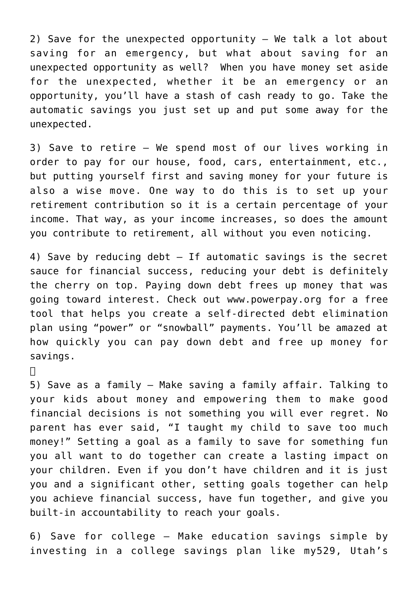2) Save for the unexpected opportunity  $-$  We talk a lot about saving for an emergency, but what about saving for an unexpected opportunity as well? When you have money set aside for the unexpected, whether it be an emergency or an opportunity, you'll have a stash of cash ready to go. Take the automatic savings you just set up and put some away for the unexpected.

3) Save to retire – We spend most of our lives working in order to pay for our house, food, cars, entertainment, etc., but putting yourself first and saving money for your future is also a wise move. One way to do this is to set up your retirement contribution so it is a certain percentage of your income. That way, as your income increases, so does the amount you contribute to retirement, all without you even noticing.

4) Save by reducing debt – If automatic savings is the secret sauce for financial success, reducing your debt is definitely the cherry on top. Paying down debt frees up money that was going toward interest. Check out [www.powerpay.org](http://www.powerpay.org/) for a free tool that helps you create a self-directed debt elimination plan using "power" or "snowball" payments. You'll be amazed at how quickly you can pay down debt and free up money for savings.

 $\Box$ 

5) Save as a family – Make saving a family affair. Talking to your kids about money and empowering them to make good financial decisions is not something you will ever regret. No parent has ever said, "I taught my child to save too much money!" Setting a goal as a family to save for something fun you all want to do together can create a lasting impact on your children. Even if you don't have children and it is just you and a significant other, setting goals together can help you achieve financial success, have fun together, and give you built-in accountability to reach your goals.

6) Save for college – Make education savings simple by investing in a college savings plan like [my529, Utah's](http://www.my529.org/)